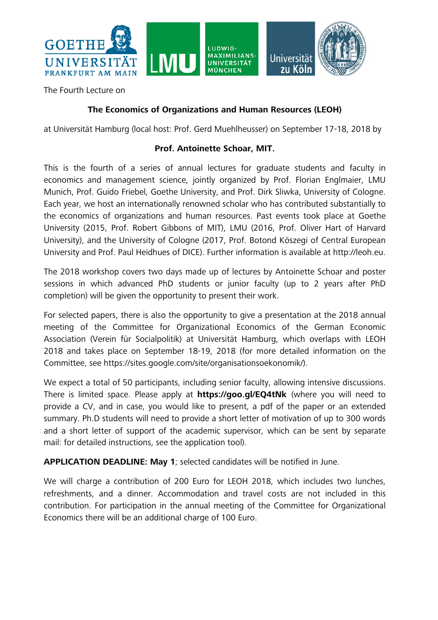

The Fourth Lecture on

## **The Economics of Organizations and Human Resources (LEOH)**

at Universität Hamburg (local host: Prof. Gerd Muehlheusser) on September 17-18, 2018 by

## **Prof. Antoinette Schoar, MIT.**

This is the fourth of a series of annual lectures for graduate students and faculty in economics and management science, jointly organized by Prof. Florian Englmaier, LMU Munich, Prof. Guido Friebel, Goethe University, and Prof. Dirk Sliwka, University of Cologne. Each year, we host an internationally renowned scholar who has contributed substantially to the economics of organizations and human resources. Past events took place at Goethe University (2015, Prof. Robert Gibbons of MIT), LMU (2016, Prof. Oliver Hart of Harvard University), and the University of Cologne (2017, Prof. Botond Köszegi of Central European University and Prof. Paul Heidhues of DICE). Further information is available at http://leoh.eu.

The 2018 workshop covers two days made up of lectures by Antoinette Schoar and poster sessions in which advanced PhD students or junior faculty (up to 2 years after PhD completion) will be given the opportunity to present their work.

For selected papers, there is also the opportunity to give a presentation at the 2018 annual meeting of the Committee for Organizational Economics of the German Economic Association (Verein für Socialpolitik) at Universität Hamburg, which overlaps with LEOH 2018 and takes place on September 18-19, 2018 (for more detailed information on the Committee, see https://sites.google.com/site/organisationsoekonomik/).

We expect a total of 50 participants, including senior faculty, allowing intensive discussions. There is limited space. Please apply at **https://goo.gl/EQ4tNk** (where you will need to provide a CV, and in case, you would like to present, a pdf of the paper or an extended summary. Ph.D students will need to provide a short letter of motivation of up to 300 words and a short letter of support of the academic supervisor, which can be sent by separate mail: for detailed instructions, see the application tool).

**APPLICATION DEADLINE: May 1**; selected candidates will be notified in June.

We will charge a contribution of 200 Euro for LEOH 2018, which includes two lunches, refreshments, and a dinner. Accommodation and travel costs are not included in this contribution. For participation in the annual meeting of the Committee for Organizational Economics there will be an additional charge of 100 Euro.